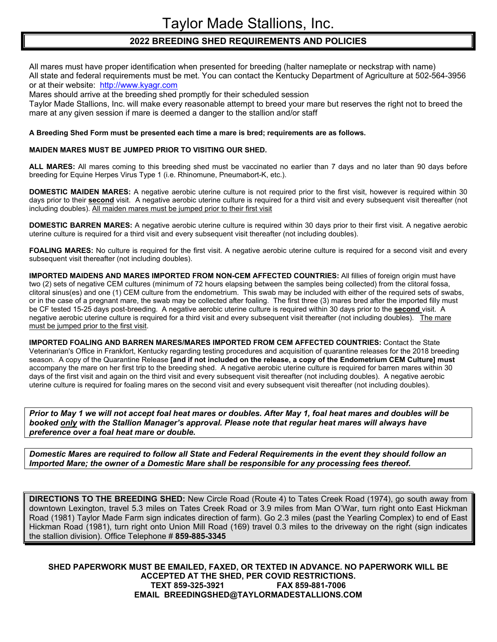## **2022 BREEDING SHED REQUIREMENTS AND POLICIES**

All mares must have proper identification when presented for breeding (halter nameplate or neckstrap with name) All state and federal requirements must be met. You can contact the Kentucky Department of Agriculture at 502-564-3956 or at their website: http://www.kyagr.com

Mares should arrive at the breeding shed promptly for their scheduled session

Taylor Made Stallions, Inc. will make every reasonable attempt to breed your mare but reserves the right not to breed the mare at any given session if mare is deemed a danger to the stallion and/or staff

## **A Breeding Shed Form must be presented each time a mare is bred; requirements are as follows.**

## **MAIDEN MARES MUST BE JUMPED PRIOR TO VISITING OUR SHED.**

**ALL MARES:** All mares coming to this breeding shed must be vaccinated no earlier than 7 days and no later than 90 days before breeding for Equine Herpes Virus Type 1 (i.e. Rhinomune, Pneumabort-K, etc.).

**DOMESTIC MAIDEN MARES:** A negative aerobic uterine culture is not required prior to the first visit, however is required within 30 days prior to their **second** visit. A negative aerobic uterine culture is required for a third visit and every subsequent visit thereafter (not including doubles). All maiden mares must be jumped prior to their first visit

**DOMESTIC BARREN MARES:** A negative aerobic uterine culture is required within 30 days prior to their first visit. A negative aerobic uterine culture is required for a third visit and every subsequent visit thereafter (not including doubles).

FOALING MARES: No culture is required for the first visit. A negative aerobic uterine culture is required for a second visit and every subsequent visit thereafter (not including doubles).

**IMPORTED MAIDENS AND MARES IMPORTED FROM NON-CEM AFFECTED COUNTRIES:** All fillies of foreign origin must have two (2) sets of negative CEM cultures (minimum of 72 hours elapsing between the samples being collected) from the clitoral fossa, clitoral sinus(es) and one (1) CEM culture from the endometrium. This swab may be included with either of the required sets of swabs, or in the case of a pregnant mare, the swab may be collected after foaling. The first three (3) mares bred after the imported filly must be CF tested 15-25 days post-breeding. A negative aerobic uterine culture is required within 30 days prior to the **second** visit. A negative aerobic uterine culture is required for a third visit and every subsequent visit thereafter (not including doubles). The mare must be jumped prior to the first visit.

**IMPORTED FOALING AND BARREN MARES/MARES IMPORTED FROM CEM AFFECTED COUNTRIES:** Contact the State Veterinarian's Office in Frankfort, Kentucky regarding testing procedures and acquisition of quarantine releases for the 2018 breeding season. A copy of the Quarantine Release **[and if not included on the release, a copy of the Endometrium CEM Culture] must** accompany the mare on her first trip to the breeding shed. A negative aerobic uterine culture is required for barren mares within 30 days of the first visit and again on the third visit and every subsequent visit thereafter (not including doubles). A negative aerobic uterine culture is required for foaling mares on the second visit and every subsequent visit thereafter (not including doubles).

*Prior to May 1 we will not accept foal heat mares or doubles. After May 1, foal heat mares and doubles will be booked only with the Stallion Manager's approval. Please note that regular heat mares will always have preference over a foal heat mare or double.* 

*Domestic Mares are required to follow all State and Federal Requirements in the event they should follow an Imported Mare; the owner of a Domestic Mare shall be responsible for any processing fees thereof.* 

**DIRECTIONS TO THE BREEDING SHED:** New Circle Road (Route 4) to Tates Creek Road (1974), go south away from downtown Lexington, travel 5.3 miles on Tates Creek Road or 3.9 miles from Man O'War, turn right onto East Hickman Road (1981) Taylor Made Farm sign indicates direction of farm). Go 2.3 miles (past the Yearling Complex) to end of East Hickman Road (1981), turn right onto Union Mill Road (169) travel 0.3 miles to the driveway on the right (sign indicates the stallion division). Office Telephone # **859-885-3345**

**SHED PAPERWORK MUST BE EMAILED, FAXED, OR TEXTED IN ADVANCE. NO PAPERWORK WILL BE ACCEPTED AT THE SHED, PER COVID RESTRICTIONS. TEXT 859-325-3921 FAX 859-881-7006 EMAIL BREEDINGSHED@TAYLORMADESTALLIONS.COM**